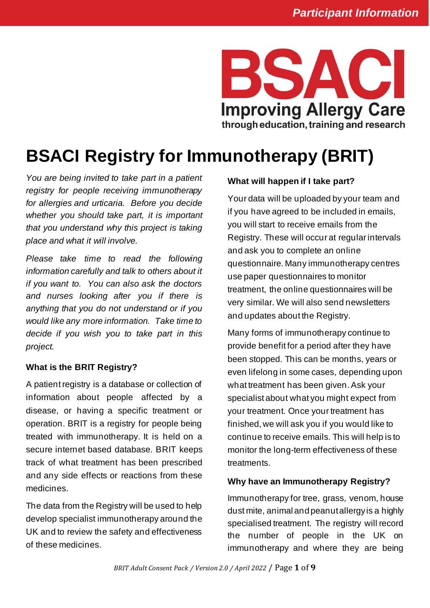

# **BSACI Registry for Immunotherapy (BRIT)**

*You are being invited to take part in a patient registry for people receiving immunotherapy for allergies and urticaria. Before you decide whether you should take part, it is important that you understand why this project is taking place and what it will involve.* 

*Please take time to read the following information carefully and talk to others about it if you want to. You can also ask the doctors and nurses looking after you if there is anything that you do not understand or if you would like any more information. Take time to decide if you wish you to take part in this project.*

## **What is the BRIT Registry?**

A patient registry is a database or collection of information about people affected by a disease, or having a specific treatment or operation. BRIT is a registry for people being treated with immunotherapy. It is held on a secure internet based database. BRIT keeps track of what treatment has been prescribed and any side effects or reactions from these medicines.

The data from the Registry will be used to help develop specialist immunotherapy around the UK and to review the safety and effectiveness of these medicines.

## **What will happen if I take part?**

Your data will be uploaded by your team and if you have agreed to be included in emails, you will start to receive emails from the Registry. These will occur at regular intervals and ask you to complete an online questionnaire. Many immunotherapy centres use paper questionnaires to monitor treatment, the online questionnaires will be very similar. We will also send newsletters and updates about the Registry.

Many forms of immunotherapy continue to provide benefit for a period after they have been stopped. This can be months, years or even lifelong in some cases, depending upon what treatment has been given. Ask your specialist about what you might expect from your treatment. Once your treatment has finished, we will ask you if you would like to continue to receive emails. This will help is to monitor the long-term effectiveness of these treatments.

## **Why have an Immunotherapy Registry?**

Immunotherapy for tree, grass, venom, house dust mite, animal and peanut allergy is a highly specialised treatment. The registry will record the number of people in the UK on immunotherapy and where they are being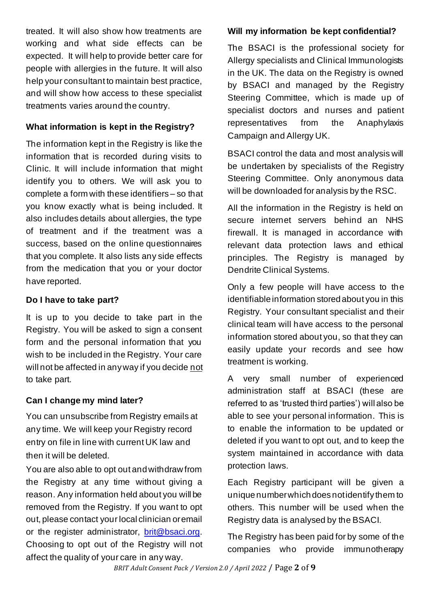treated. It will also show how treatments are working and what side effects can be expected. It will help to provide better care for people with allergies in the future. It will also help your consultant to maintain best practice, and will show how access to these specialist treatments varies around the country.

## **What information is kept in the Registry?**

The information kept in the Registry is like the information that is recorded during visits to Clinic. It will include information that might identify you to others. We will ask you to complete a form with these identifiers – so that you know exactly what is being included. It also includes details about allergies, the type of treatment and if the treatment was a success, based on the online questionnaires that you complete. It also lists any side effects from the medication that you or your doctor have reported.

## **Do I have to take part?**

It is up to you decide to take part in the Registry. You will be asked to sign a consent form and the personal information that you wish to be included in the Registry. Your care will not be affected in any way if you decide not to take part.

## **Can I change my mind later?**

You can unsubscribe from Registry emails at any time. We will keep your Registry record entry on file in line with current UK law and then it will be deleted.

You are also able to opt out and withdraw from the Registry at any time without giving a reason. Any information held about you will be removed from the Registry. If you want to opt out, please contact your local clinician or email or the register administrator, [brit@bsaci.org.](mailto:brit@bsaci.org) Choosing to opt out of the Registry will not affect the quality of your care in any way.

# **Will my information be kept confidential?**

The BSACI is the professional society for Allergy specialists and Clinical Immunologists in the UK. The data on the Registry is owned by BSACI and managed by the Registry Steering Committee, which is made up of specialist doctors and nurses and patient representatives from the Anaphylaxis Campaign and Allergy UK.

BSACI control the data and most analysis will be undertaken by specialists of the Registry Steering Committee. Only anonymous data will be downloaded for analysis by the RSC.

All the information in the Registry is held on secure internet servers behind an NHS firewall. It is managed in accordance with relevant data protection laws and ethical principles. The Registry is managed by Dendrite Clinical Systems.

Only a few people will have access to the identifiable information stored about you in this Registry. Your consultant specialist and their clinical team will have access to the personal information stored about you, so that they can easily update your records and see how treatment is working.

A very small number of experienced administration staff at BSACI (these are referred to as 'trusted third parties') will also be able to see your personal information. This is to enable the information to be updated or deleted if you want to opt out, and to keep the system maintained in accordance with data protection laws.

Each Registry participant will be given a unique number which does not identify them to others. This number will be used when the Registry data is analysed by the BSACI.

The Registry has been paid for by some of the companies who provide immunotherapy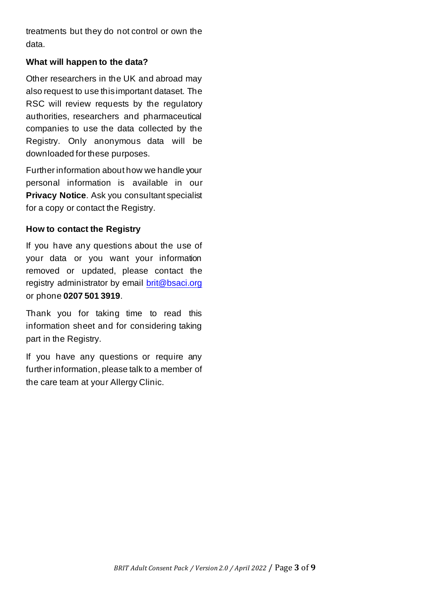treatments but they do not control or own the data.

## **What will happen to the data?**

Other researchers in the UK and abroad may also request to use this important dataset. The RSC will review requests by the regulatory authorities, researchers and pharmaceutical companies to use the data collected by the Registry. Only anonymous data will be downloaded for these purposes.

Further information about how we handle your personal information is available in our **Privacy Notice**. Ask you consultant specialist for a copy or contact the Registry.

## **How to contact the Registry**

If you have any questions about the use of your data or you want your information removed or updated, please contact the registry administrator by email [brit@bsaci.org](mailto:brit@bsaci.org) or phone **0207 501 3919**.

Thank you for taking time to read this information sheet and for considering taking part in the Registry.

If you have any questions or require any further information, please talk to a member of the care team at your Allergy Clinic.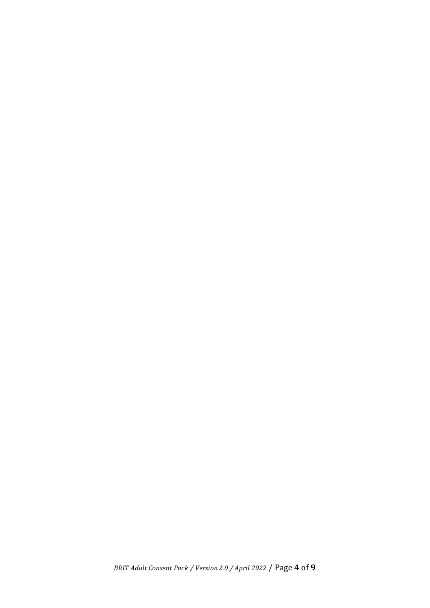*BRIT Adult Consent Pack / Version 2.0 / April 2022* / Page **4** of **9**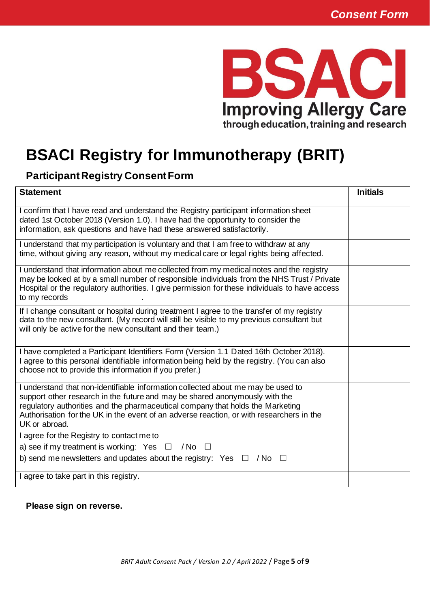

# **BSACI Registry for Immunotherapy (BRIT)**

## **Participant Registry Consent Form**

| <b>Statement</b>                                                                                                                                                                                                                                                                                                                                               | <b>Initials</b> |
|----------------------------------------------------------------------------------------------------------------------------------------------------------------------------------------------------------------------------------------------------------------------------------------------------------------------------------------------------------------|-----------------|
| I confirm that I have read and understand the Registry participant information sheet<br>dated 1st October 2018 (Version 1.0). I have had the opportunity to consider the<br>information, ask questions and have had these answered satisfactorily.                                                                                                             |                 |
| I understand that my participation is voluntary and that I am free to withdraw at any<br>time, without giving any reason, without my medical care or legal rights being affected.                                                                                                                                                                              |                 |
| I understand that information about me collected from my medical notes and the registry<br>may be looked at by a small number of responsible individuals from the NHS Trust / Private<br>Hospital or the regulatory authorities. I give permission for these individuals to have access<br>to my records                                                       |                 |
| If I change consultant or hospital during treatment I agree to the transfer of my registry<br>data to the new consultant. (My record will still be visible to my previous consultant but<br>will only be active for the new consultant and their team.)                                                                                                        |                 |
| I have completed a Participant Identifiers Form (Version 1.1 Dated 16th October 2018).<br>I agree to this personal identifiable information being held by the registry. (You can also<br>choose not to provide this information if you prefer.)                                                                                                                |                 |
| I understand that non-identifiable information collected about me may be used to<br>support other research in the future and may be shared anonymously with the<br>regulatory authorities and the pharmaceutical company that holds the Marketing<br>Authorisation for the UK in the event of an adverse reaction, or with researchers in the<br>UK or abroad. |                 |
| I agree for the Registry to contact me to                                                                                                                                                                                                                                                                                                                      |                 |
| a) see if my treatment is working: Yes $\Box$ /No $\Box$                                                                                                                                                                                                                                                                                                       |                 |
| b) send me newsletters and updates about the registry: Yes $\Box$ /No $\Box$                                                                                                                                                                                                                                                                                   |                 |
| I agree to take part in this registry.                                                                                                                                                                                                                                                                                                                         |                 |

### **Please sign on reverse.**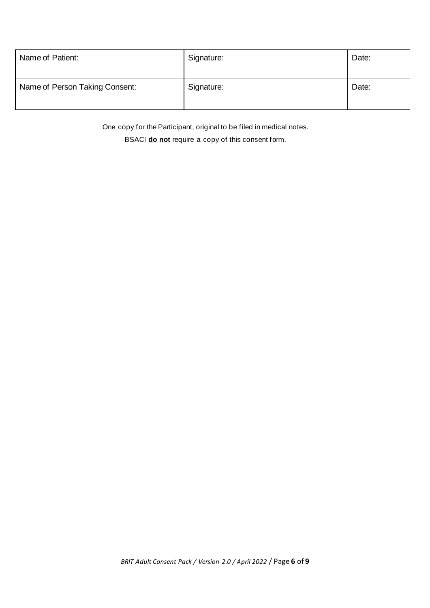| Name of Patient:               | Signature: | Date: |
|--------------------------------|------------|-------|
| Name of Person Taking Consent: | Signature: | Date: |

One copy for the Participant, original to be filed in medical notes.

BSACI **do not** require a copy of this consent form.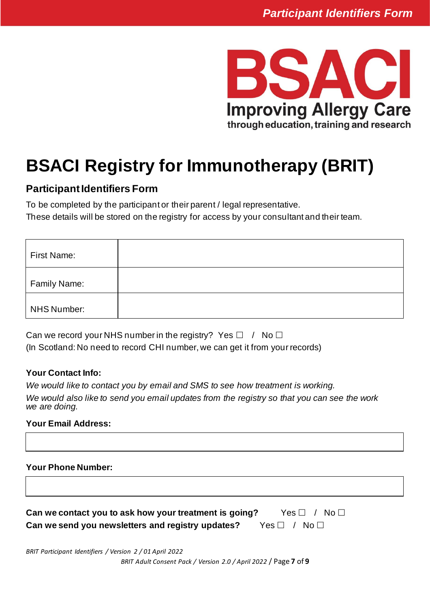

# **BSACI Registry for Immunotherapy (BRIT)**

# **Participant Identifiers Form**

To be completed by the participant or their parent / legal representative.

These details will be stored on the registry for access by your consultant and their team.

| First Name:         |  |
|---------------------|--|
| <b>Family Name:</b> |  |
| NHS Number:         |  |

Can we record your NHS number in the registry? Yes  $\Box$  / No  $\Box$ (In Scotland: No need to record CHI number, we can get it from your records)

## **Your Contact Info:**

*We would like to contact you by email and SMS to see how treatment is working. We would also like to send you email updates from the registry so that you can see the work we are doing.*

## **Your Email Address:**

## **Your Phone Number:**

| Can we contact you to ask how your treatment is going? | $Yes \Box$ / $No \Box$ |
|--------------------------------------------------------|------------------------|
| Can we send you newsletters and registry updates?      | $Yes \Box$ / $No \Box$ |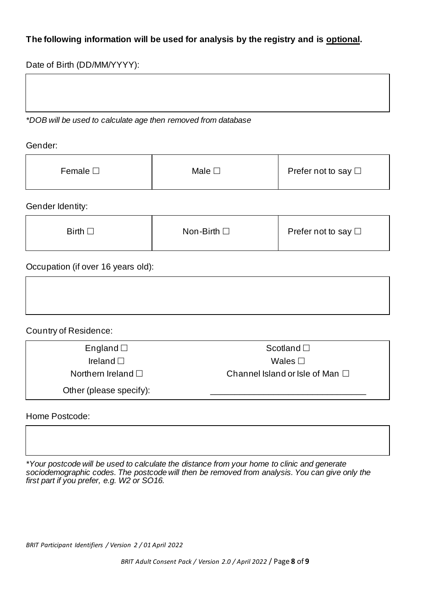## **The following information will be used for analysis by the registry and is optional.**

## Date of Birth (DD/MM/YYYY):

*\*DOB will be used to calculate age then removed from database*

Gender:

| Female $\square$ | Male $\square$ | Prefer not to say $\square$ |
|------------------|----------------|-----------------------------|
|------------------|----------------|-----------------------------|

Gender Identity:

| Birth $\Box$ | Non-Birth $\square$ | Prefer not to say $\square$ |
|--------------|---------------------|-----------------------------|
|              |                     |                             |

Occupation (if over 16 years old):

Country of Residence:

| England $\square$          | Scotland $\square$                   |
|----------------------------|--------------------------------------|
| Ireland $\square$          | Wales $\square$                      |
| Northern Ireland $\square$ | Channel Island or Isle of Man $\Box$ |
| Other (please specify):    |                                      |
|                            |                                      |

Home Postcode:

*\*Your postcode will be used to calculate the distance from your home to clinic and generate sociodemographic codes. The postcode will then be removed from analysis. You can give only the first part if you prefer, e.g. W2 or SO16.*

*BRIT Participant Identifiers / Version 2 / 01 April 2022*